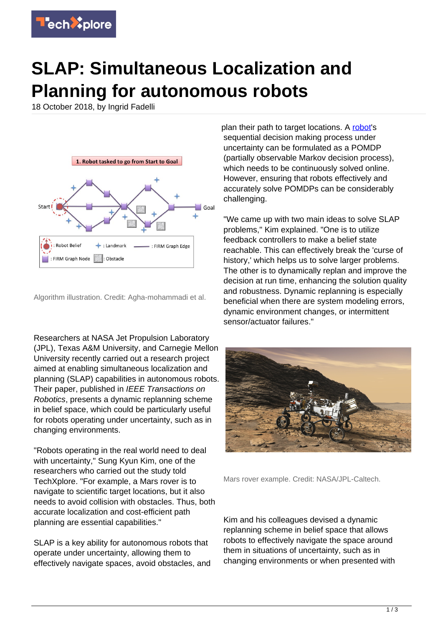

## **SLAP: Simultaneous Localization and Planning for autonomous robots**

18 October 2018, by Ingrid Fadelli



Algorithm illustration. Credit: Agha-mohammadi et al.

Researchers at NASA Jet Propulsion Laboratory (JPL), Texas A&M University, and Carnegie Mellon University recently carried out a research project aimed at enabling simultaneous localization and planning (SLAP) capabilities in autonomous robots. Their paper, published in IEEE Transactions on Robotics, presents a dynamic replanning scheme in belief space, which could be particularly useful for robots operating under uncertainty, such as in changing environments.

"Robots operating in the real world need to deal with uncertainty," Sung Kyun Kim, one of the researchers who carried out the study told TechXplore. "For example, a Mars rover is to navigate to scientific target locations, but it also needs to avoid collision with obstacles. Thus, both accurate localization and cost-efficient path planning are essential capabilities."

SLAP is a key ability for autonomous robots that operate under uncertainty, allowing them to effectively navigate spaces, avoid obstacles, and plan their path to target locations. A [robot](https://techxplore.com/tags/robot/)'s sequential decision making process under uncertainty can be formulated as a POMDP (partially observable Markov decision process), which needs to be continuously solved online. However, ensuring that robots effectively and accurately solve POMDPs can be considerably challenging.

"We came up with two main ideas to solve SLAP problems," Kim explained. "One is to utilize feedback controllers to make a belief state reachable. This can effectively break the 'curse of history,' which helps us to solve larger problems. The other is to dynamically replan and improve the decision at run time, enhancing the solution quality and robustness. Dynamic replanning is especially beneficial when there are system modeling errors, dynamic environment changes, or intermittent sensor/actuator failures."



Mars rover example. Credit: NASA/JPL-Caltech.

Kim and his colleagues devised a dynamic replanning scheme in belief space that allows robots to effectively navigate the space around them in situations of uncertainty, such as in changing environments or when presented with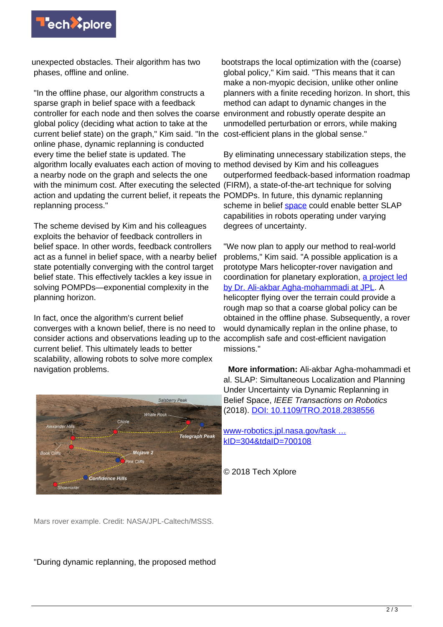

unexpected obstacles. Their algorithm has two phases, offline and online.

"In the offline phase, our algorithm constructs a sparse graph in belief space with a feedback controller for each node and then solves the coarse global policy (deciding what action to take at the current belief state) on the graph," Kim said. "In the cost-efficient plans in the global sense." online phase, dynamic replanning is conducted every time the belief state is updated. The algorithm locally evaluates each action of moving to method devised by Kim and his colleagues a nearby node on the graph and selects the one with the minimum cost. After executing the selected (FIRM), a state-of-the-art technique for solving action and updating the current belief, it repeats the POMDPs. In future, this dynamic replanning replanning process."

The scheme devised by Kim and his colleagues exploits the behavior of feedback controllers in belief space. In other words, feedback controllers act as a funnel in belief space, with a nearby belief state potentially converging with the control target belief state. This effectively tackles a key issue in solving POMPDs—exponential complexity in the planning horizon.

In fact, once the algorithm's current belief converges with a known belief, there is no need to consider actions and observations leading up to the accomplish safe and cost-efficient navigation current belief. This ultimately leads to better scalability, allowing robots to solve more complex navigation problems.



bootstraps the local optimization with the (coarse) global policy," Kim said. "This means that it can make a non-myopic decision, unlike other online planners with a finite receding horizon. In short, this method can adapt to dynamic changes in the environment and robustly operate despite an unmodelled perturbation or errors, while making

By eliminating unnecessary stabilization steps, the outperformed feedback-based information roadmap scheme in belief [space](https://techxplore.com/tags/space/) could enable better SLAP capabilities in robots operating under varying degrees of uncertainty.

"We now plan to apply our method to real-world problems," Kim said. "A possible application is a prototype Mars helicopter-rover navigation and coordination for planetary exploration, [a project led](https://www-robotics.jpl.nasa.gov/tasks/showTask.cfm?FuseAction=ShowTask&TaskID=304&tdaID=700108) [by Dr. Ali-akbar Agha-mohammadi at JPL](https://www-robotics.jpl.nasa.gov/tasks/showTask.cfm?FuseAction=ShowTask&TaskID=304&tdaID=700108). A helicopter flying over the terrain could provide a rough map so that a coarse global policy can be obtained in the offline phase. Subsequently, a rover would dynamically replan in the online phase, to missions."

 **More information:** Ali-akbar Agha-mohammadi et al. SLAP: Simultaneous Localization and Planning Under Uncertainty via Dynamic Replanning in Belief Space, IEEE Transactions on Robotics (2018). [DOI: 10.1109/TRO.2018.2838556](http://dx.doi.org/10.1109/TRO.2018.2838556)

[www-robotics.jpl.nasa.gov/task …](https://www-robotics.jpl.nasa.gov/tasks/showTask.cfm?FuseAction=ShowTask&TaskID=304&tdaID=700108) [kID=304&tdaID=700108](https://www-robotics.jpl.nasa.gov/tasks/showTask.cfm?FuseAction=ShowTask&TaskID=304&tdaID=700108)

© 2018 Tech Xplore

Mars rover example. Credit: NASA/JPL-Caltech/MSSS.

"During dynamic replanning, the proposed method